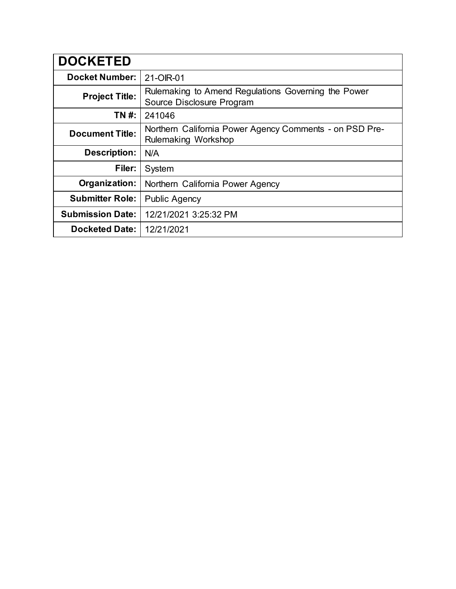| <b>DOCKETED</b>         |                                                                                  |
|-------------------------|----------------------------------------------------------------------------------|
| <b>Docket Number:</b>   | 21-OIR-01                                                                        |
| <b>Project Title:</b>   | Rulemaking to Amend Regulations Governing the Power<br>Source Disclosure Program |
| TN #:                   | 241046                                                                           |
| <b>Document Title:</b>  | Northern California Power Agency Comments - on PSD Pre-<br>Rulemaking Workshop   |
| Description:            | N/A                                                                              |
| Filer:                  | System                                                                           |
| Organization:           | Northern California Power Agency                                                 |
| <b>Submitter Role:</b>  | <b>Public Agency</b>                                                             |
| <b>Submission Date:</b> | 12/21/2021 3:25:32 PM                                                            |
| <b>Docketed Date:</b>   | 12/21/2021                                                                       |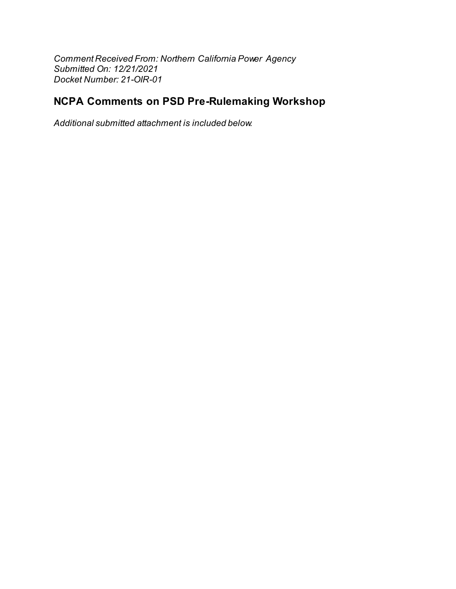Comment Received From: Northern California Power Agency Submitted On: 12/21/2021 Docket Number: 21-OIR-01

## **NCPA Comments on PSD Pre-Rulemaking Workshop**

Additional submitted attachment is included below.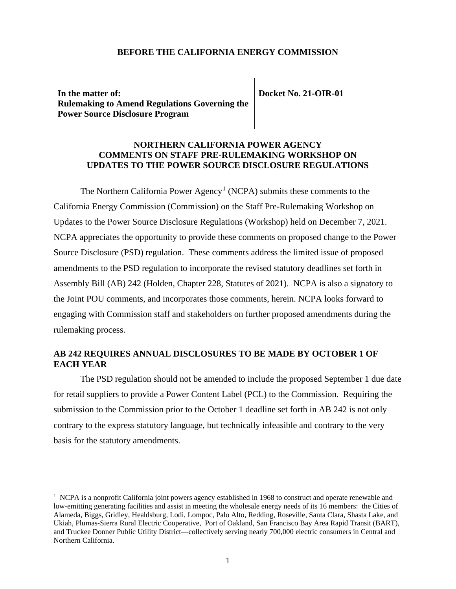## **BEFORE THE CALIFORNIA ENERGY COMMISSION**

**In the matter of: Rulemaking to Amend Regulations Governing the Power Source Disclosure Program**

**Docket No. 21-OIR-01**

## **NORTHERN CALIFORNIA POWER AGENCY COMMENTS ON STAFF PRE-RULEMAKING WORKSHOP ON UPDATES TO THE POWER SOURCE DISCLOSURE REGULATIONS**

The Northern California Power Agency<sup>[1](#page-2-0)</sup> (NCPA) submits these comments to the California Energy Commission (Commission) on the Staff Pre-Rulemaking Workshop on Updates to the Power Source Disclosure Regulations (Workshop) held on December 7, 2021. NCPA appreciates the opportunity to provide these comments on proposed change to the Power Source Disclosure (PSD) regulation. These comments address the limited issue of proposed amendments to the PSD regulation to incorporate the revised statutory deadlines set forth in Assembly Bill (AB) 242 (Holden, Chapter 228, Statutes of 2021). NCPA is also a signatory to the Joint POU comments, and incorporates those comments, herein. NCPA looks forward to engaging with Commission staff and stakeholders on further proposed amendments during the rulemaking process.

## **AB 242 REQUIRES ANNUAL DISCLOSURES TO BE MADE BY OCTOBER 1 OF EACH YEAR**

The PSD regulation should not be amended to include the proposed September 1 due date for retail suppliers to provide a Power Content Label (PCL) to the Commission. Requiring the submission to the Commission prior to the October 1 deadline set forth in AB 242 is not only contrary to the express statutory language, but technically infeasible and contrary to the very basis for the statutory amendments.

<span id="page-2-0"></span><sup>&</sup>lt;sup>1</sup> NCPA is a nonprofit California joint powers agency established in 1968 to construct and operate renewable and low-emitting generating facilities and assist in meeting the wholesale energy needs of its 16 members: the Cities of Alameda, Biggs, Gridley, Healdsburg, Lodi, Lompoc, Palo Alto, Redding, Roseville, Santa Clara, Shasta Lake, and Ukiah, Plumas-Sierra Rural Electric Cooperative, Port of Oakland, San Francisco Bay Area Rapid Transit (BART), and Truckee Donner Public Utility District—collectively serving nearly 700,000 electric consumers in Central and Northern California.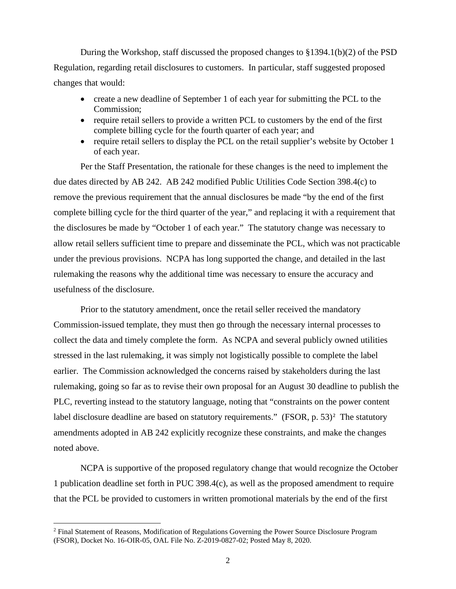During the Workshop, staff discussed the proposed changes to §1394.1(b)(2) of the PSD Regulation, regarding retail disclosures to customers. In particular, staff suggested proposed changes that would:

- create a new deadline of September 1 of each year for submitting the PCL to the Commission;
- require retail sellers to provide a written PCL to customers by the end of the first complete billing cycle for the fourth quarter of each year; and
- require retail sellers to display the PCL on the retail supplier's website by October 1 of each year.

Per the Staff Presentation, the rationale for these changes is the need to implement the due dates directed by AB 242. AB 242 modified Public Utilities Code Section 398.4(c) to remove the previous requirement that the annual disclosures be made "by the end of the first complete billing cycle for the third quarter of the year," and replacing it with a requirement that the disclosures be made by "October 1 of each year." The statutory change was necessary to allow retail sellers sufficient time to prepare and disseminate the PCL, which was not practicable under the previous provisions. NCPA has long supported the change, and detailed in the last rulemaking the reasons why the additional time was necessary to ensure the accuracy and usefulness of the disclosure.

Prior to the statutory amendment, once the retail seller received the mandatory Commission-issued template, they must then go through the necessary internal processes to collect the data and timely complete the form. As NCPA and several publicly owned utilities stressed in the last rulemaking, it was simply not logistically possible to complete the label earlier. The Commission acknowledged the concerns raised by stakeholders during the last rulemaking, going so far as to revise their own proposal for an August 30 deadline to publish the PLC, reverting instead to the statutory language, noting that "constraints on the power content label disclosure deadline are based on statutory requirements." (FSOR, p. 53)<sup>[2](#page-3-0)</sup> The statutory amendments adopted in AB 242 explicitly recognize these constraints, and make the changes noted above.

NCPA is supportive of the proposed regulatory change that would recognize the October 1 publication deadline set forth in PUC 398.4(c), as well as the proposed amendment to require that the PCL be provided to customers in written promotional materials by the end of the first

<span id="page-3-0"></span><sup>2</sup> Final Statement of Reasons, Modification of Regulations Governing the Power Source Disclosure Program (FSOR), Docket No. 16-OIR-05, OAL File No. Z-2019-0827-02; Posted May 8, 2020.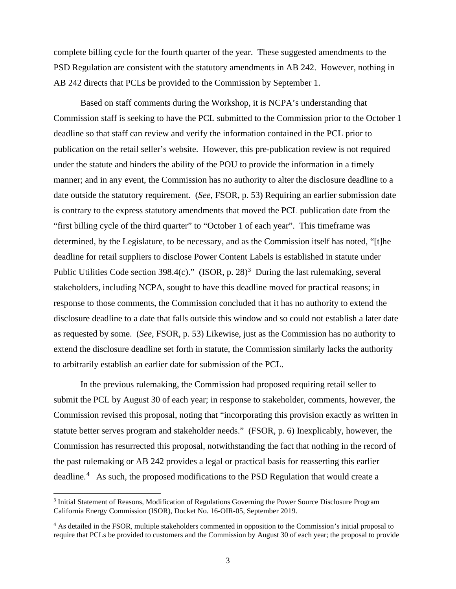complete billing cycle for the fourth quarter of the year. These suggested amendments to the PSD Regulation are consistent with the statutory amendments in AB 242. However, nothing in AB 242 directs that PCLs be provided to the Commission by September 1.

Based on staff comments during the Workshop, it is NCPA's understanding that Commission staff is seeking to have the PCL submitted to the Commission prior to the October 1 deadline so that staff can review and verify the information contained in the PCL prior to publication on the retail seller's website. However, this pre-publication review is not required under the statute and hinders the ability of the POU to provide the information in a timely manner; and in any event, the Commission has no authority to alter the disclosure deadline to a date outside the statutory requirement. (*See*, FSOR, p. 53) Requiring an earlier submission date is contrary to the express statutory amendments that moved the PCL publication date from the "first billing cycle of the third quarter" to "October 1 of each year". This timeframe was determined, by the Legislature, to be necessary, and as the Commission itself has noted, "[t]he deadline for retail suppliers to disclose Power Content Labels is established in statute under Public Utilities Code section [3](#page-4-0)98.4(c)." (ISOR, p. 28)<sup>3</sup> During the last rulemaking, several stakeholders, including NCPA, sought to have this deadline moved for practical reasons; in response to those comments, the Commission concluded that it has no authority to extend the disclosure deadline to a date that falls outside this window and so could not establish a later date as requested by some. (*See*, FSOR, p. 53) Likewise, just as the Commission has no authority to extend the disclosure deadline set forth in statute, the Commission similarly lacks the authority to arbitrarily establish an earlier date for submission of the PCL.

In the previous rulemaking, the Commission had proposed requiring retail seller to submit the PCL by August 30 of each year; in response to stakeholder, comments, however, the Commission revised this proposal, noting that "incorporating this provision exactly as written in statute better serves program and stakeholder needs." (FSOR, p. 6) Inexplicably, however, the Commission has resurrected this proposal, notwithstanding the fact that nothing in the record of the past rulemaking or AB 242 provides a legal or practical basis for reasserting this earlier deadline.<sup>[4](#page-4-1)</sup> As such, the proposed modifications to the PSD Regulation that would create a

<span id="page-4-0"></span><sup>3</sup> Initial Statement of Reasons, Modification of Regulations Governing the Power Source Disclosure Program California Energy Commission (ISOR), Docket No. 16-OIR-05, September 2019.

<span id="page-4-1"></span><sup>&</sup>lt;sup>4</sup> As detailed in the FSOR, multiple stakeholders commented in opposition to the Commission's initial proposal to require that PCLs be provided to customers and the Commission by August 30 of each year; the proposal to provide